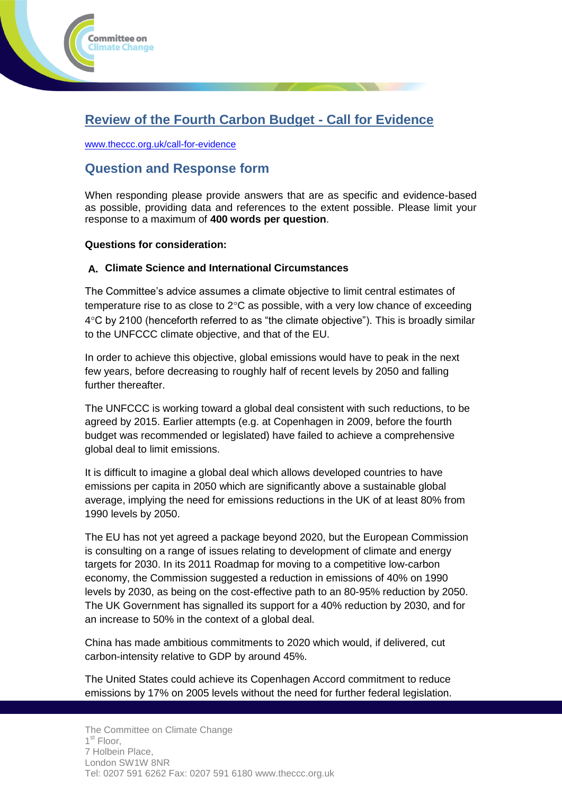

[www.theccc.org.uk/call-for-evidence](http://www.theccc.org.uk/call-for-evidence)

ommittee on limate Change

# **Question and Response form**

When responding please provide answers that are as specific and evidence-based as possible, providing data and references to the extent possible. Please limit your response to a maximum of **400 words per question**.

## **Questions for consideration:**

## **A. Climate Science and International Circumstances**

The Committee's advice assumes a climate objective to limit central estimates of temperature rise to as close to  $2^{\circ}$ C as possible, with a very low chance of exceeding  $4^{\circ}$ C by 2100 (henceforth referred to as "the climate objective"). This is broadly similar to the UNFCCC climate objective, and that of the EU.

In order to achieve this objective, global emissions would have to peak in the next few years, before decreasing to roughly half of recent levels by 2050 and falling further thereafter.

The UNFCCC is working toward a global deal consistent with such reductions, to be agreed by 2015. Earlier attempts (e.g. at Copenhagen in 2009, before the fourth budget was recommended or legislated) have failed to achieve a comprehensive global deal to limit emissions.

It is difficult to imagine a global deal which allows developed countries to have emissions per capita in 2050 which are significantly above a sustainable global average, implying the need for emissions reductions in the UK of at least 80% from 1990 levels by 2050.

The EU has not yet agreed a package beyond 2020, but the European Commission is consulting on a range of issues relating to development of climate and energy targets for 2030. In its 2011 Roadmap for moving to a competitive low-carbon economy, the Commission suggested a reduction in emissions of 40% on 1990 levels by 2030, as being on the cost-effective path to an 80-95% reduction by 2050. The UK Government has signalled its support for a 40% reduction by 2030, and for an increase to 50% in the context of a global deal.

China has made ambitious commitments to 2020 which would, if delivered, cut carbon-intensity relative to GDP by around 45%.

The United States could achieve its Copenhagen Accord commitment to reduce emissions by 17% on 2005 levels without the need for further federal legislation.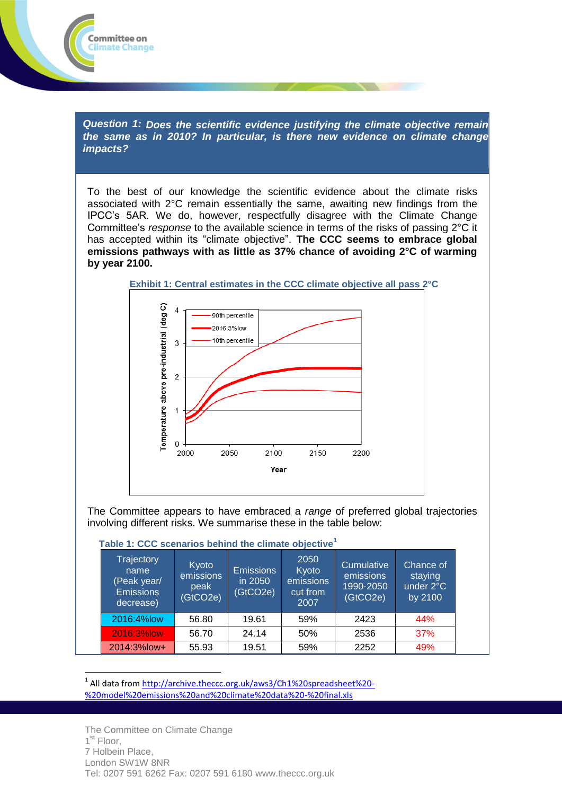*Question 1: Does the scientific evidence justifying the climate objective remain the same as in 2010? In particular, is there new evidence on climate change impacts?*

To the best of our knowledge the scientific evidence about the climate risks associated with 2°C remain essentially the same, awaiting new findings from the IPCC's 5AR. We do, however, respectfully disagree with the Climate Change Committee's *response* to the available science in terms of the risks of passing 2°C it has accepted within its "climate objective". **The CCC seems to embrace global emissions pathways with as little as 37% chance of avoiding 2°C of warming by year 2100.**



The Committee appears to have embraced a *range* of preferred global trajectories involving different risks. We summarise these in the table below:

#### **Table 1: CCC scenarios behind the climate objective<sup>1</sup>**

| Trajectory<br>'name.<br>(Peak year/<br><b>Emissions</b><br>decrease) | Kyoto<br>emissions<br>peak<br>(GtCO2e) | <b>Emissions</b><br>in 2050<br>(GtCO2e) | 2050<br>Kyoto<br>emissions<br>cut from<br>2007 | Cumulative<br>emissions<br>1990-2050<br>(GtCO2e) | Chance of<br>staying<br>under 2°C<br>by 2100 |
|----------------------------------------------------------------------|----------------------------------------|-----------------------------------------|------------------------------------------------|--------------------------------------------------|----------------------------------------------|
| 2016:4%low                                                           | 56.80                                  | 19.61                                   | 59%                                            | 2423                                             | 44%                                          |
| 2016:3%low                                                           | 56.70                                  | 24.14                                   | 50%                                            | 2536                                             | 37%                                          |
| 2014:3%low+                                                          | 55.93                                  | 19.51                                   | 59%                                            | 2252                                             | 49%                                          |

<sup>1</sup> All data fro[m http://archive.theccc.org.uk/aws3/Ch1%20spreadsheet%20-](http://archive.theccc.org.uk/aws3/Ch1%20spreadsheet%20-%20model%20emissions%20and%20climate%20data%20-%20final.xls) [%20model%20emissions%20and%20climate%20data%20-%20final.xls](http://archive.theccc.org.uk/aws3/Ch1%20spreadsheet%20-%20model%20emissions%20and%20climate%20data%20-%20final.xls)

 $\overline{a}$ 

Committee on **Climate Change**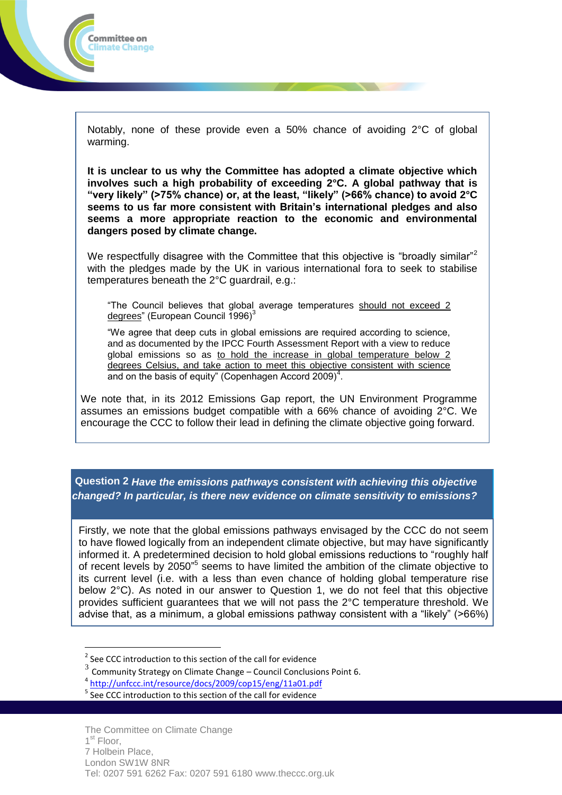

Notably, none of these provide even a 50% chance of avoiding 2°C of global warming.

**It is unclear to us why the Committee has adopted a climate objective which involves such a high probability of exceeding 2°C. A global pathway that is "very likely" (>75% chance) or, at the least, "likely" (>66% chance) to avoid 2°C seems to us far more consistent with Britain's international pledges and also seems a more appropriate reaction to the economic and environmental dangers posed by climate change.** 

We respectfully disagree with the Committee that this objective is "broadly similar"<sup>2</sup> with the pledges made by the UK in various international fora to seek to stabilise temperatures beneath the 2°C guardrail, e.g.:

"The Council believes that global average temperatures should not exceed 2 degrees" (European Council 1996)<sup>3</sup>

"We agree that deep cuts in global emissions are required according to science, and as documented by the IPCC Fourth Assessment Report with a view to reduce global emissions so as to hold the increase in global temperature below 2 degrees Celsius, and take action to meet this objective consistent with science and on the basis of equity" (Copenhagen Accord 2009) $<sup>4</sup>$ .</sup>

We note that, in its 2012 Emissions Gap report, the UN Environment Programme assumes an emissions budget compatible with a 66% chance of avoiding 2°C. We encourage the CCC to follow their lead in defining the climate objective going forward.

**Question 2** *Have the emissions pathways consistent with achieving this objective changed? In particular, is there new evidence on climate sensitivity to emissions?*

Firstly, we note that the global emissions pathways envisaged by the CCC do not seem to have flowed logically from an independent climate objective, but may have significantly informed it. A predetermined decision to hold global emissions reductions to "roughly half of recent levels by 2050<sup>"5</sup> seems to have limited the ambition of the climate objective to its current level (i.e. with a less than even chance of holding global temperature rise below 2°C). As noted in our answer to Question 1, we do not feel that this objective provides sufficient guarantees that we will not pass the 2°C temperature threshold. We advise that, as a minimum, a global emissions pathway consistent with a "likely" (>66%)

 $\overline{a}$ 

 $2$  See CCC introduction to this section of the call for evidence

 $^3$  Community Strategy on Climate Change – Council Conclusions Point 6.

<sup>4</sup> <http://unfccc.int/resource/docs/2009/cop15/eng/11a01.pdf>

 $5$  See CCC introduction to this section of the call for evidence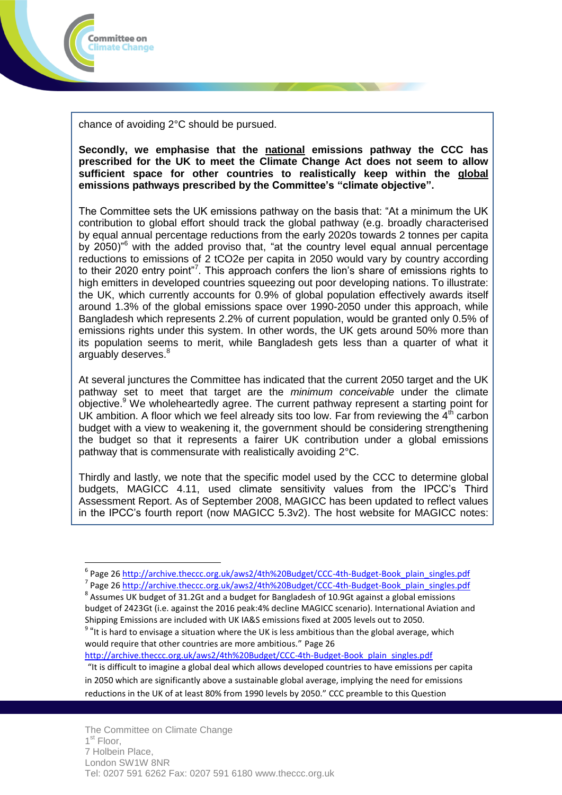

 $\overline{a}$ 

chance of avoiding 2°C should be pursued.

**Secondly, we emphasise that the national emissions pathway the CCC has prescribed for the UK to meet the Climate Change Act does not seem to allow sufficient space for other countries to realistically keep within the global emissions pathways prescribed by the Committee's "climate objective".**

The Committee sets the UK emissions pathway on the basis that: "At a minimum the UK contribution to global effort should track the global pathway (e.g. broadly characterised by equal annual percentage reductions from the early 2020s towards 2 tonnes per capita by 2050)<sup>%</sup> with the added proviso that, "at the country level equal annual percentage reductions to emissions of 2 tCO2e per capita in 2050 would vary by country according to their 2020 entry point"<sup>7</sup>. This approach confers the lion's share of emissions rights to high emitters in developed countries squeezing out poor developing nations. To illustrate: the UK, which currently accounts for 0.9% of global population effectively awards itself around 1.3% of the global emissions space over 1990-2050 under this approach, while Bangladesh which represents 2.2% of current population, would be granted only 0.5% of emissions rights under this system. In other words, the UK gets around 50% more than its population seems to merit, while Bangladesh gets less than a quarter of what it arguably deserves.<sup>8</sup>

At several junctures the Committee has indicated that the current 2050 target and the UK pathway set to meet that target are the *minimum conceivable* under the climate objective.<sup>9</sup> We wholeheartedly agree. The current pathway represent a starting point for UK ambition. A floor which we feel already sits too low. Far from reviewing the  $4<sup>th</sup>$  carbon budget with a view to weakening it, the government should be considering strengthening the budget so that it represents a fairer UK contribution under a global emissions pathway that is commensurate with realistically avoiding 2°C.

Thirdly and lastly, we note that the specific model used by the CCC to determine global budgets, MAGICC 4.11, used climate sensitivity values from the IPCC's Third Assessment Report. As of September 2008, MAGICC has been updated to reflect values in the IPCC's fourth report (now MAGICC 5.3v2). The host website for MAGICC notes:

[http://archive.theccc.org.uk/aws2/4th%20Budget/CCC-4th-Budget-Book\\_plain\\_singles.pdf](http://archive.theccc.org.uk/aws2/4th%20Budget/CCC-4th-Budget-Book_plain_singles.pdf)

"It is difficult to imagine a global deal which allows developed countries to have emissions per capita in 2050 which are significantly above a sustainable global average, implying the need for emissions reductions in the UK of at least 80% from 1990 levels by 2050." CCC preamble to this Question

<sup>&</sup>lt;sup>6</sup> Page 26 [http://archive.theccc.org.uk/aws2/4th%20Budget/CCC-4th-Budget-Book\\_plain\\_singles.pdf](http://archive.theccc.org.uk/aws2/4th%20Budget/CCC-4th-Budget-Book_plain_singles.pdf) <sup>7</sup> Page 26 [http://archive.theccc.org.uk/aws2/4th%20Budget/CCC-4th-Budget-Book\\_plain\\_singles.pdf](http://archive.theccc.org.uk/aws2/4th%20Budget/CCC-4th-Budget-Book_plain_singles.pdf)

 $^8$  Assumes UK budget of 31.2Gt and a budget for Bangladesh of 10.9Gt against a global emissions budget of 2423Gt (i.e. against the 2016 peak:4% decline MAGICC scenario). International Aviation and Shipping Emissions are included with UK IA&S emissions fixed at 2005 levels out to 2050.

 $^9$  "It is hard to envisage a situation where the UK is less ambitious than the global average, which would require that other countries are more ambitious." Page 26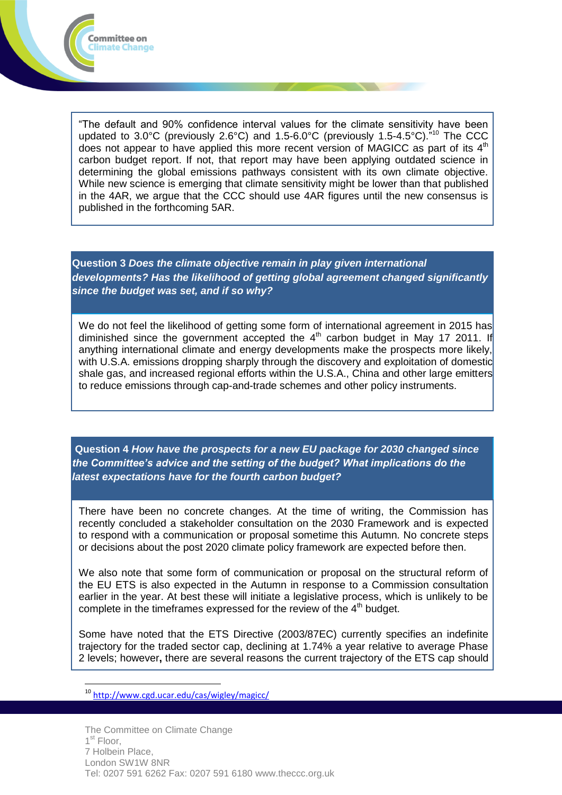

"The default and 90% confidence interval values for the climate sensitivity have been updated to 3.0°C (previously 2.6°C) and 1.5-6.0°C (previously 1.5-4.5°C).<sup>"10</sup> The CCC does not appear to have applied this more recent version of MAGICC as part of its  $4<sup>th</sup>$ carbon budget report. If not, that report may have been applying outdated science in determining the global emissions pathways consistent with its own climate objective. While new science is emerging that climate sensitivity might be lower than that published in the 4AR, we argue that the CCC should use 4AR figures until the new consensus is published in the forthcoming 5AR.

**Question 3** *Does the climate objective remain in play given international developments? Has the likelihood of getting global agreement changed significantly since the budget was set, and if so why?*

We do not feel the likelihood of getting some form of international agreement in 2015 has diminished since the government accepted the  $4<sup>th</sup>$  carbon budget in May 17 2011. If anything international climate and energy developments make the prospects more likely, with U.S.A. emissions dropping sharply through the discovery and exploitation of domestic shale gas, and increased regional efforts within the U.S.A., China and other large emitters to reduce emissions through cap-and-trade schemes and other policy instruments.

**Question 4** *How have the prospects for a new EU package for 2030 changed since the Committee's advice and the setting of the budget? What implications do the latest expectations have for the fourth carbon budget?*

There have been no concrete changes. At the time of writing, the Commission has recently concluded a stakeholder consultation on the 2030 Framework and is expected to respond with a communication or proposal sometime this Autumn. No concrete steps or decisions about the post 2020 climate policy framework are expected before then.

We also note that some form of communication or proposal on the structural reform of the EU ETS is also expected in the Autumn in response to a Commission consultation earlier in the year. At best these will initiate a legislative process, which is unlikely to be complete in the timeframes expressed for the review of the  $4<sup>th</sup>$  budget.

Some have noted that the ETS Directive (2003/87EC) currently specifies an indefinite trajectory for the traded sector cap, declining at 1.74% a year relative to average Phase 2 levels; however**,** there are several reasons the current trajectory of the ETS cap should

<sup>10</sup> <http://www.cgd.ucar.edu/cas/wigley/magicc/>

 $\overline{a}$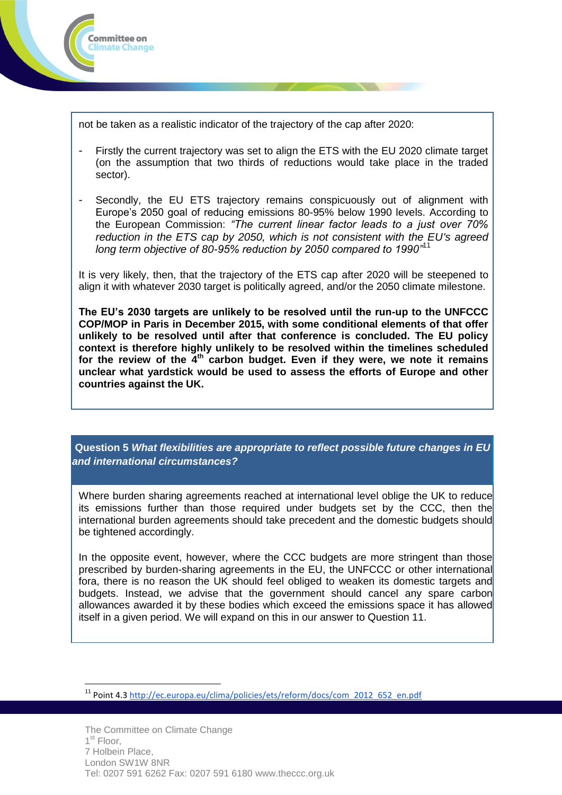

 $\overline{a}$ 

not be taken as a realistic indicator of the trajectory of the cap after 2020:

- Firstly the current trajectory was set to align the ETS with the EU 2020 climate target (on the assumption that two thirds of reductions would take place in the traded sector).
- Secondly, the EU ETS trajectory remains conspicuously out of alignment with Europe's 2050 goal of reducing emissions 80-95% below 1990 levels. According to the European Commission: *"The current linear factor leads to a just over 70% reduction in the ETS cap by 2050, which is not consistent with the EU's agreed long term objective of 80-95% reduction by 2050 compared to 1990"*<sup>11</sup>

It is very likely, then, that the trajectory of the ETS cap after 2020 will be steepened to align it with whatever 2030 target is politically agreed, and/or the 2050 climate milestone.

**The EU's 2030 targets are unlikely to be resolved until the run-up to the UNFCCC COP/MOP in Paris in December 2015, with some conditional elements of that offer unlikely to be resolved until after that conference is concluded. The EU policy context is therefore highly unlikely to be resolved within the timelines scheduled for the review of the 4th carbon budget. Even if they were, we note it remains unclear what yardstick would be used to assess the efforts of Europe and other countries against the UK.**

**Question 5** *What flexibilities are appropriate to reflect possible future changes in EU and international circumstances?*

Where burden sharing agreements reached at international level oblige the UK to reduce its emissions further than those required under budgets set by the CCC, then the international burden agreements should take precedent and the domestic budgets should be tightened accordingly.

In the opposite event, however, where the CCC budgets are more stringent than those prescribed by burden-sharing agreements in the EU, the UNFCCC or other international fora, there is no reason the UK should feel obliged to weaken its domestic targets and budgets. Instead, we advise that the government should cancel any spare carbon allowances awarded it by these bodies which exceed the emissions space it has allowed itself in a given period. We will expand on this in our answer to Question 11.

<sup>11</sup> Point 4.3 [http://ec.europa.eu/clima/policies/ets/reform/docs/com\\_2012\\_652\\_en.pdf](http://ec.europa.eu/clima/policies/ets/reform/docs/com_2012_652_en.pdf)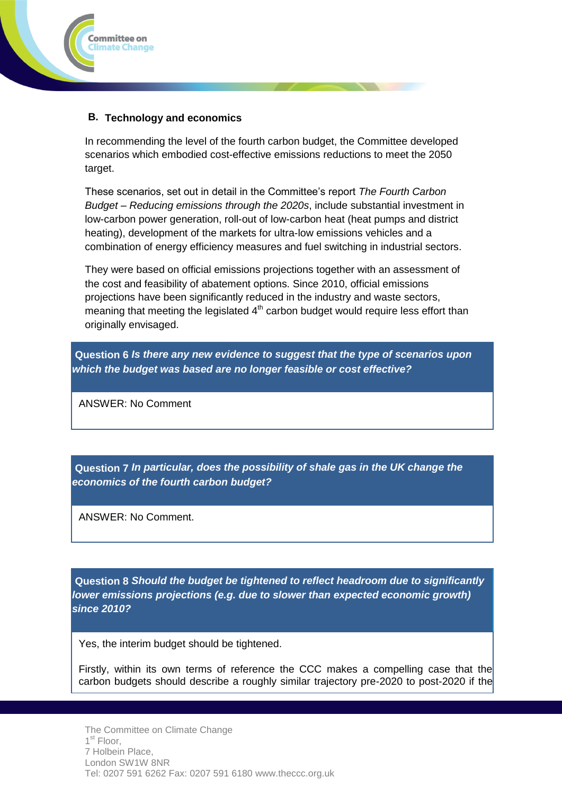

# **B. Technology and economics**

In recommending the level of the fourth carbon budget, the Committee developed scenarios which embodied cost-effective emissions reductions to meet the 2050 target.

These scenarios, set out in detail in the Committee's report *The Fourth Carbon Budget – Reducing emissions through the 2020s*, include substantial investment in low-carbon power generation, roll-out of low-carbon heat (heat pumps and district heating), development of the markets for ultra-low emissions vehicles and a combination of energy efficiency measures and fuel switching in industrial sectors.

They were based on official emissions projections together with an assessment of the cost and feasibility of abatement options. Since 2010, official emissions projections have been significantly reduced in the industry and waste sectors, meaning that meeting the legislated  $4<sup>th</sup>$  carbon budget would require less effort than originally envisaged.

**Question 6** *Is there any new evidence to suggest that the type of scenarios upon which the budget was based are no longer feasible or cost effective?*

ANSWER: No Comment

**Question 7** *In particular, does the possibility of shale gas in the UK change the economics of the fourth carbon budget?*

ANSWER: No Comment.

**Question 8** *Should the budget be tightened to reflect headroom due to significantly lower emissions projections (e.g. due to slower than expected economic growth) since 2010?*

Yes, the interim budget should be tightened.

Firstly, within its own terms of reference the CCC makes a compelling case that the carbon budgets should describe a roughly similar trajectory pre-2020 to post-2020 if the

The Committee on Climate Change 1<sup>st</sup> Floor, 7 Holbein Place, London SW1W 8NR Tel: 0207 591 6262 Fax: 0207 591 6180 www.theccc.org.uk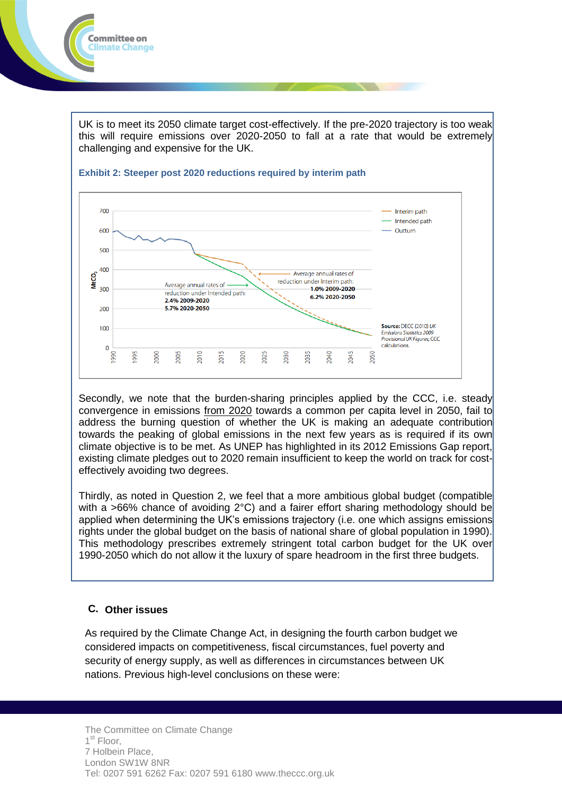

UK is to meet its 2050 climate target cost-effectively. If the pre-2020 trajectory is too weak this will require emissions over 2020-2050 to fall at a rate that would be extremely challenging and expensive for the UK.



### **Exhibit 2: Steeper post 2020 reductions required by interim path**

Secondly, we note that the burden-sharing principles applied by the CCC, i.e. steady convergence in emissions from 2020 towards a common per capita level in 2050, fail to address the burning question of whether the UK is making an adequate contribution towards the peaking of global emissions in the next few years as is required if its own climate objective is to be met. As UNEP has highlighted in its 2012 Emissions Gap report, existing climate pledges out to 2020 remain insufficient to keep the world on track for costeffectively avoiding two degrees.

Thirdly, as noted in Question 2, we feel that a more ambitious global budget (compatible with a >66% chance of avoiding 2°C) and a fairer effort sharing methodology should be applied when determining the UK's emissions trajectory (i.e. one which assigns emissions rights under the global budget on the basis of national share of global population in 1990). This methodology prescribes extremely stringent total carbon budget for the UK over 1990-2050 which do not allow it the luxury of spare headroom in the first three budgets.

# **C. Other issues**

As required by the Climate Change Act, in designing the fourth carbon budget we considered impacts on competitiveness, fiscal circumstances, fuel poverty and security of energy supply, as well as differences in circumstances between UK nations. Previous high-level conclusions on these were: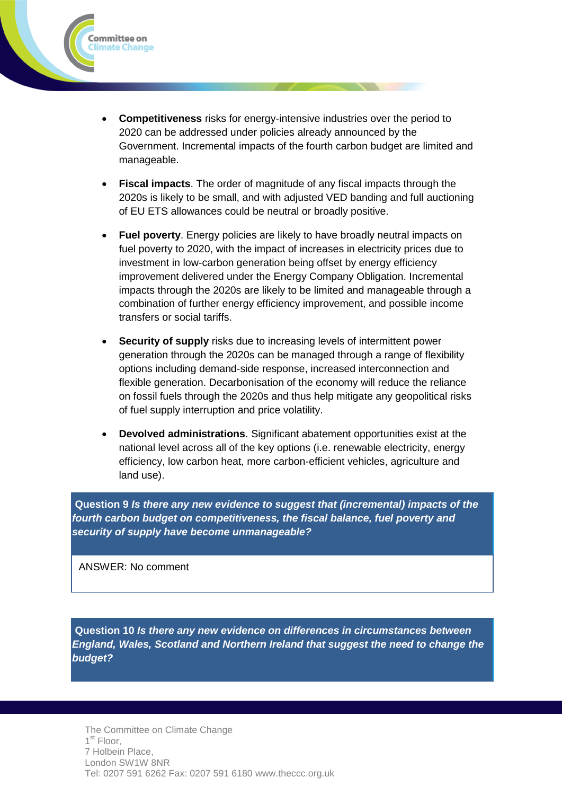

- **Fiscal impacts**. The order of magnitude of any fiscal impacts through the 2020s is likely to be small, and with adjusted VED banding and full auctioning of EU ETS allowances could be neutral or broadly positive.
- **Fuel poverty**. Energy policies are likely to have broadly neutral impacts on fuel poverty to 2020, with the impact of increases in electricity prices due to investment in low-carbon generation being offset by energy efficiency improvement delivered under the Energy Company Obligation. Incremental impacts through the 2020s are likely to be limited and manageable through a combination of further energy efficiency improvement, and possible income transfers or social tariffs.
- **Security of supply** risks due to increasing levels of intermittent power generation through the 2020s can be managed through a range of flexibility options including demand-side response, increased interconnection and flexible generation. Decarbonisation of the economy will reduce the reliance on fossil fuels through the 2020s and thus help mitigate any geopolitical risks of fuel supply interruption and price volatility.
- **Devolved administrations**. Significant abatement opportunities exist at the national level across all of the key options (i.e. renewable electricity, energy efficiency, low carbon heat, more carbon-efficient vehicles, agriculture and land use).

**Question 9** *Is there any new evidence to suggest that (incremental) impacts of the fourth carbon budget on competitiveness, the fiscal balance, fuel poverty and security of supply have become unmanageable?*

ANSWER: No comment

Committee on limate Change

**Question 10** *Is there any new evidence on differences in circumstances between England, Wales, Scotland and Northern Ireland that suggest the need to change the budget?*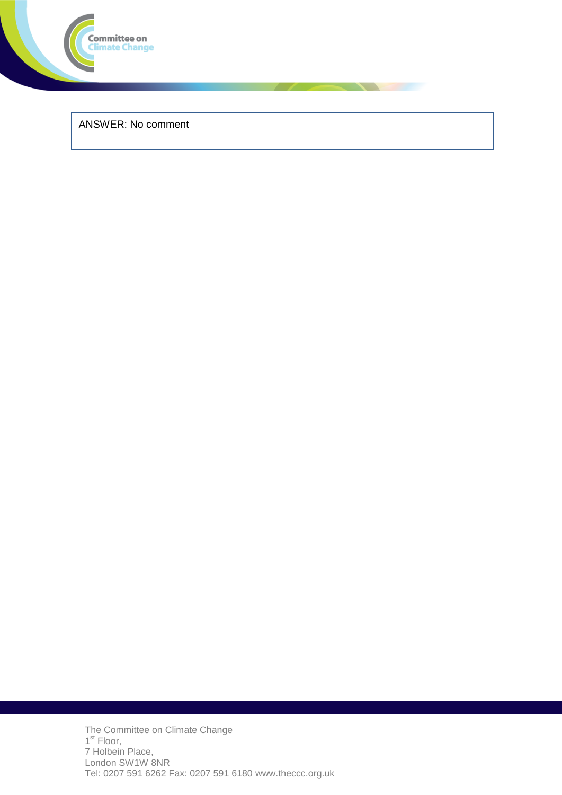

ANSWER: No comment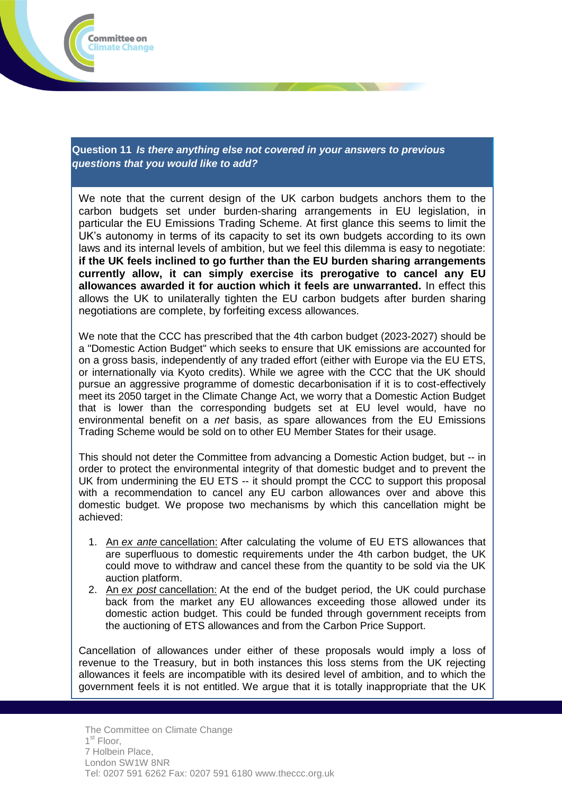

**Question 11** *Is there anything else not covered in your answers to previous questions that you would like to add?*

We note that the current design of the UK carbon budgets anchors them to the carbon budgets set under burden-sharing arrangements in EU legislation, in particular the EU Emissions Trading Scheme. At first glance this seems to limit the UK's autonomy in terms of its capacity to set its own budgets according to its own laws and its internal levels of ambition, but we feel this dilemma is easy to negotiate: **if the UK feels inclined to go further than the EU burden sharing arrangements currently allow, it can simply exercise its prerogative to cancel any EU allowances awarded it for auction which it feels are unwarranted.** In effect this allows the UK to unilaterally tighten the EU carbon budgets after burden sharing negotiations are complete, by forfeiting excess allowances.

We note that the CCC has prescribed that the 4th carbon budget (2023-2027) should be a "Domestic Action Budget" which seeks to ensure that UK emissions are accounted for on a gross basis, independently of any traded effort (either with Europe via the EU ETS, or internationally via Kyoto credits). While we agree with the CCC that the UK should pursue an aggressive programme of domestic decarbonisation if it is to cost-effectively meet its 2050 target in the Climate Change Act, we worry that a Domestic Action Budget that is lower than the corresponding budgets set at EU level would, have no environmental benefit on a *net* basis, as spare allowances from the EU Emissions Trading Scheme would be sold on to other EU Member States for their usage.

This should not deter the Committee from advancing a Domestic Action budget, but -- in order to protect the environmental integrity of that domestic budget and to prevent the UK from undermining the EU ETS -- it should prompt the CCC to support this proposal with a recommendation to cancel any EU carbon allowances over and above this domestic budget. We propose two mechanisms by which this cancellation might be achieved:

- 1. An *ex ante* cancellation: After calculating the volume of EU ETS allowances that are superfluous to domestic requirements under the 4th carbon budget, the UK could move to withdraw and cancel these from the quantity to be sold via the UK auction platform.
- 2. An *ex post* cancellation: At the end of the budget period, the UK could purchase back from the market any EU allowances exceeding those allowed under its domestic action budget. This could be funded through government receipts from the auctioning of ETS allowances and from the Carbon Price Support.

Cancellation of allowances under either of these proposals would imply a loss of revenue to the Treasury, but in both instances this loss stems from the UK rejecting allowances it feels are incompatible with its desired level of ambition, and to which the government feels it is not entitled. We argue that it is totally inappropriate that the UK

The Committee on Climate Change 1<sup>st</sup> Floor, 7 Holbein Place, London SW1W 8NR Tel: 0207 591 6262 Fax: 0207 591 6180 www.theccc.org.uk